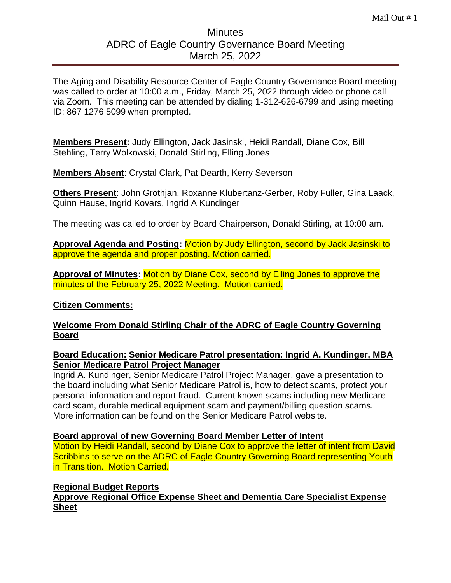# **Minutes** ADRC of Eagle Country Governance Board Meeting March 25, 2022

The Aging and Disability Resource Center of Eagle Country Governance Board meeting was called to order at 10:00 a.m., Friday, March 25, 2022 through video or phone call via Zoom. This meeting can be attended by dialing 1-312-626-6799 and using meeting ID: 867 1276 5099 when prompted.

**Members Present:** Judy Ellington, Jack Jasinski, Heidi Randall, Diane Cox, Bill Stehling, Terry Wolkowski, Donald Stirling, Elling Jones

**Members Absent**: Crystal Clark, Pat Dearth, Kerry Severson

**Others Present**: John Grothjan, Roxanne Klubertanz-Gerber, Roby Fuller, Gina Laack, Quinn Hause, Ingrid Kovars, Ingrid A Kundinger

The meeting was called to order by Board Chairperson, Donald Stirling, at 10:00 am.

**Approval Agenda and Posting:** Motion by Judy Ellington, second by Jack Jasinski to approve the agenda and proper posting. Motion carried.

**Approval of Minutes:** Motion by Diane Cox, second by Elling Jones to approve the minutes of the February 25, 2022 Meeting. Motion carried.

## **Citizen Comments:**

# **Welcome From Donald Stirling Chair of the ADRC of Eagle Country Governing Board**

# **Board Education: Senior Medicare Patrol presentation: Ingrid A. Kundinger, MBA Senior Medicare Patrol Project Manager**

Ingrid A. Kundinger, Senior Medicare Patrol Project Manager, gave a presentation to the board including what Senior Medicare Patrol is, how to detect scams, protect your personal information and report fraud. Current known scams including new Medicare card scam, durable medical equipment scam and payment/billing question scams. More information can be found on the Senior Medicare Patrol website.

## **Board approval of new Governing Board Member Letter of Intent**

Motion by Heidi Randall, second by Diane Cox to approve the letter of intent from David Scribbins to serve on the ADRC of Eagle Country Governing Board representing Youth in Transition. Motion Carried.

## **Regional Budget Reports**

**Approve Regional Office Expense Sheet and Dementia Care Specialist Expense Sheet**